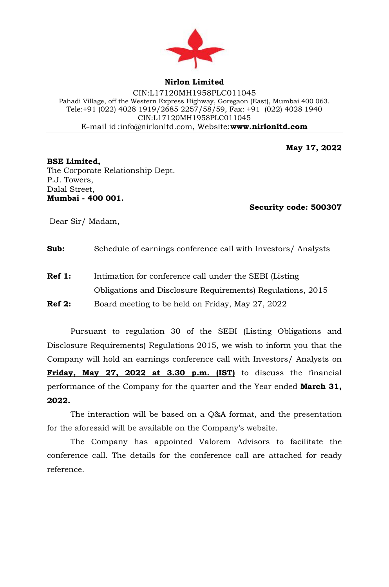

**Nirlon Limited**

CIN:L17120MH1958PLC011045 Pahadi Village, off the Western Express Highway, Goregaon (East), Mumbai 400 063. Tele:+91 (022) 4028 1919/2685 2257/58/59, Fax: +91 (022) 4028 1940 CIN:L17120MH1958PLC011045 E-mail id [:info@nirlonltd.com,](mailto:info@nirlonltd.com) Website:**[www.nirlonltd.com](http://www.nirlonltd.com/)**

**May 17, 2022**

**BSE Limited,**  The Corporate Relationship Dept. P.J. Towers, Dalal Street, **Mumbai - 400 001.**

 **Security code: 500307** 

Dear Sir/ Madam,

**Sub:** Schedule of earnings conference call with Investors/ Analysts

**Ref 1:** Intimation for conference call under the SEBI (Listing Obligations and Disclosure Requirements) Regulations, 2015 **Ref 2:** Board meeting to be held on Friday, May 27, 2022

Pursuant to regulation 30 of the SEBI (Listing Obligations and Disclosure Requirements) Regulations 2015, we wish to inform you that the Company will hold an earnings conference call with Investors/ Analysts on **Friday, May 27, 2022 at 3.30 p.m. (IST)** to discuss the financial performance of the Company for the quarter and the Year ended **March 31, 2022.**

The interaction will be based on a Q&A format, and the presentation for the aforesaid will be available on the Company's website.

The Company has appointed Valorem Advisors to facilitate the conference call. The details for the conference call are attached for ready reference.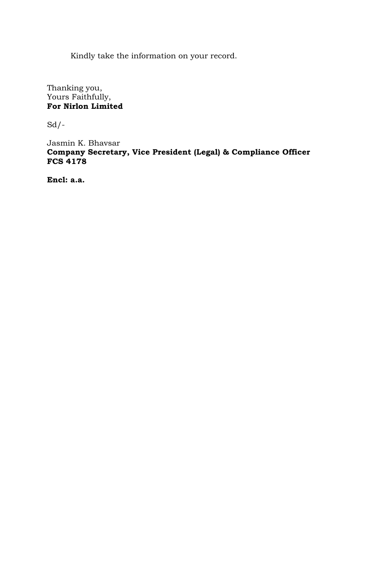Kindly take the information on your record.

Thanking you, Yours Faithfully, **For Nirlon Limited** 

 $Sd$  /-

Jasmin K. Bhavsar **Company Secretary, Vice President (Legal) & Compliance Officer FCS 4178**

**Encl: a.a.**